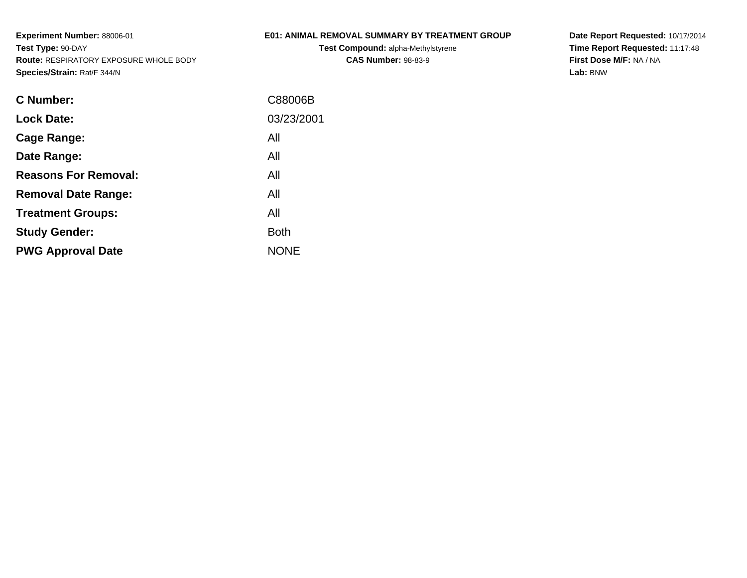## **E01: ANIMAL REMOVAL SUMMARY BY TREATMENT GROUP**

**Test Compound:** alpha-Methylstyrene**CAS Number:** 98-83-9

**Date Report Requested:** 10/17/2014 **Time Report Requested:** 11:17:48**First Dose M/F:** NA / NA**Lab:** BNW

| C Number:                   | C88006B     |
|-----------------------------|-------------|
| <b>Lock Date:</b>           | 03/23/2001  |
| Cage Range:                 | All         |
| Date Range:                 | All         |
| <b>Reasons For Removal:</b> | All         |
| <b>Removal Date Range:</b>  | All         |
| <b>Treatment Groups:</b>    | All         |
| <b>Study Gender:</b>        | <b>Both</b> |
| <b>PWG Approval Date</b>    | <b>NONE</b> |
|                             |             |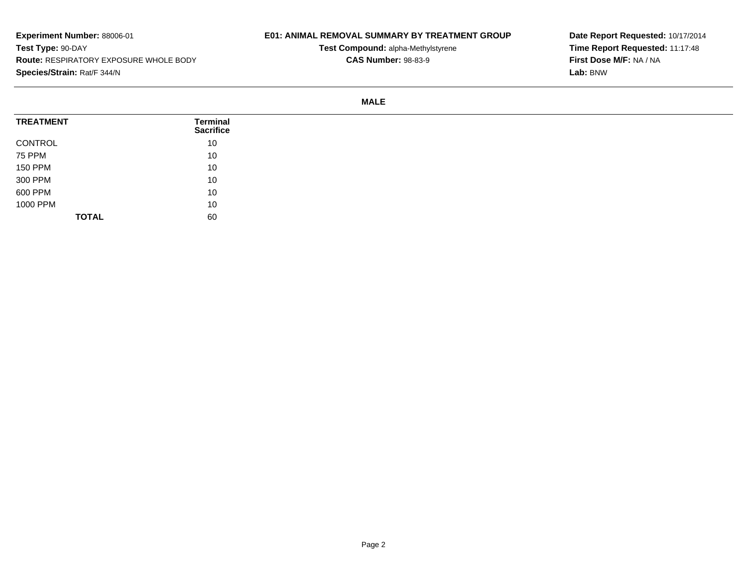## **E01: ANIMAL REMOVAL SUMMARY BY TREATMENT GROUP**

**Test Compound:** alpha-Methylstyrene**CAS Number:** 98-83-9

**Date Report Requested:** 10/17/2014**Time Report Requested:** 11:17:48**First Dose M/F:** NA / NA**Lab:** BNW

#### **MALE**

| <b>TREATMENT</b> | Terminal<br><b>Sacrifice</b> |
|------------------|------------------------------|
| CONTROL          | 10                           |
| <b>75 PPM</b>    | 10                           |
| <b>150 PPM</b>   | 10                           |
| 300 PPM          | 10                           |
| 600 PPM          | 10                           |
| 1000 PPM         | 10                           |
| <b>TOTAL</b>     | 60                           |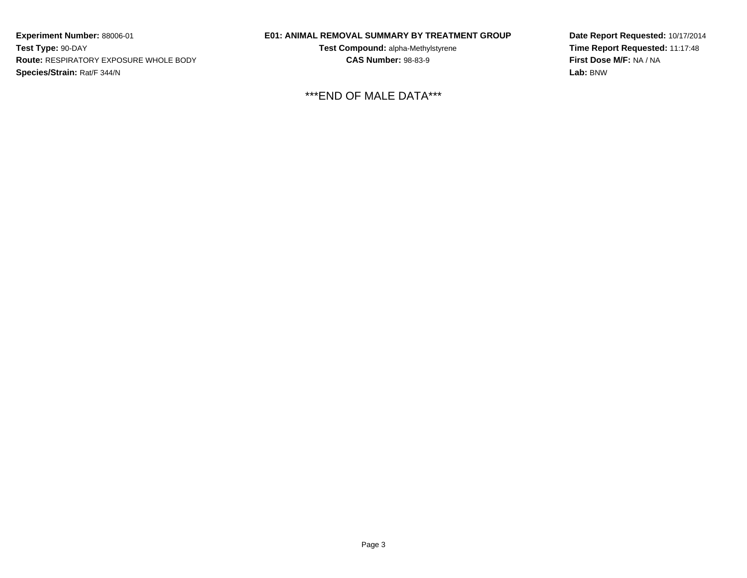## **E01: ANIMAL REMOVAL SUMMARY BY TREATMENT GROUP**

**Test Compound:** alpha-Methylstyrene**CAS Number:** 98-83-9

\*\*\*END OF MALE DATA\*\*\*

**Date Report Requested:** 10/17/2014**Time Report Requested:** 11:17:48**First Dose M/F:** NA / NA**Lab:** BNW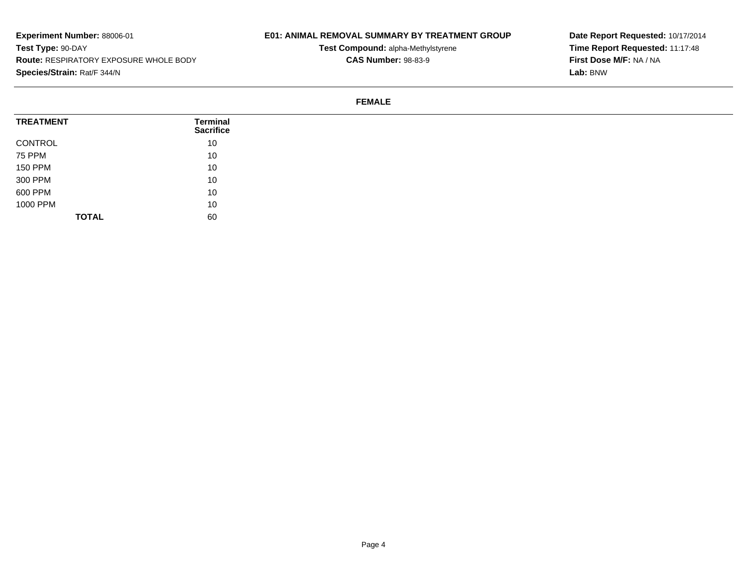## **E01: ANIMAL REMOVAL SUMMARY BY TREATMENT GROUP**

**Test Compound:** alpha-Methylstyrene**CAS Number:** 98-83-9

**Date Report Requested:** 10/17/2014**Time Report Requested:** 11:17:48**First Dose M/F:** NA / NA**Lab:** BNW

#### **FEMALE**

| <b>TREATMENT</b> | Terminal<br><b>Sacrifice</b> |
|------------------|------------------------------|
| CONTROL          | 10                           |
| 75 PPM           | 10                           |
| <b>150 PPM</b>   | 10                           |
| 300 PPM          | 10                           |
| 600 PPM          | 10                           |
| 1000 PPM         | 10                           |
| <b>TOTAL</b>     | 60                           |